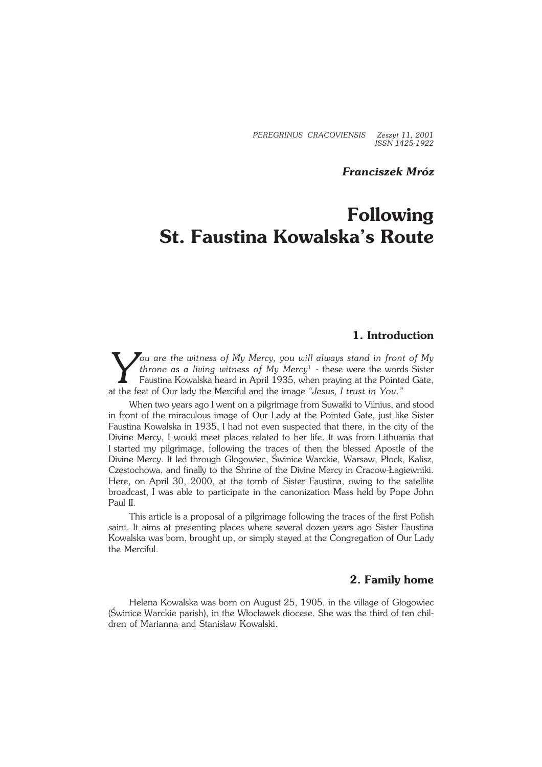*PEREGRINUS CRACOVIENSIS Zeszyt 11, 2001 ISSN 1425−1922*

# *Franciszek Mróz*

# **Following St. Faustina Kowalska's Route**

# **1. Introduction**

*You are the witness of My Mercy, you will always stand in front of My throne as a living witness of My Mercy<sup>1</sup> - these were the words Sister Faustina Kowalska heard in April 1935, when praying at the Pointed Gate, at the throne as a living witness of My Mercy*<sup>1</sup> − these were the words Sister Faustina Kowalska heard in April 1935, when praying at the Pointed Gate, at the feet of Our lady the Merciful and the image "Jesus, I trust in You."

When two years ago I went on a pilgrimage from Suwałki to Vilnius, and stood in front of the miraculous image of Our Lady at the Pointed Gate, just like Sister Faustina Kowalska in 1935, I had not even suspected that there, in the city of the Divine Mercy, I would meet places related to her life. It was from Lithuania that Istarted my pilgrimage, following the traces of then the blessed Apostle of the Divine Mercy. It led through Głogowiec, Świnice Warckie, Warsaw, Płock, Kalisz, Częstochowa, and finally to the Shrine of the Divine Mercy in Cracow−Łagiewniki. Here, on April 30, 2000, at the tomb of Sister Faustina, owing to the satellite broadcast, I was able to participate in the canonization Mass held by Pope John Paul II.

This article is a proposal of a pilgrimage following the traces of the first Polish saint. It aims at presenting places where several dozen years ago Sister Faustina Kowalska was born, brought up, or simply stayed at the Congregation of Our Lady the Merciful.

### **2. Family home**

Helena Kowalska was born on August 25, 1905, in the village of Głogowiec (Świnice Warckie parish), in the Włocławek diocese. She was the third of ten chil− dren of Marianna and Stanisław Kowalski.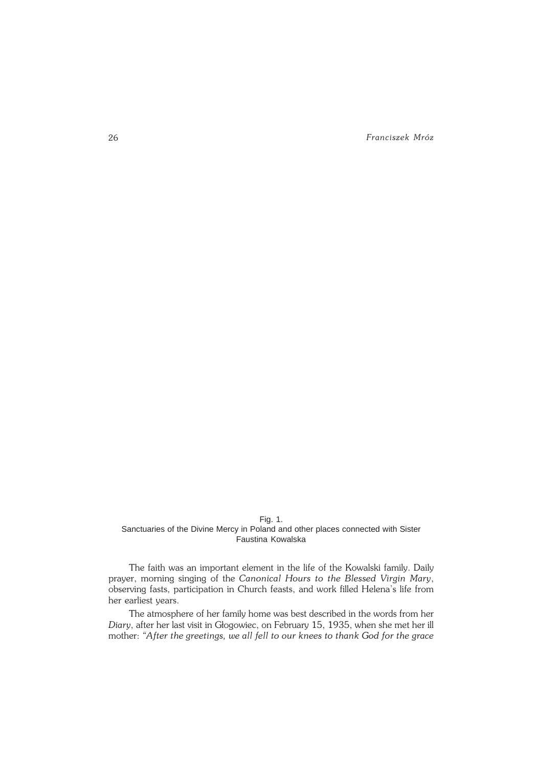26 *Franciszek Mróz*

#### Fig. 1. Sanctuaries of the Divine Mercy in Poland and other places connected with Sister Faustina Kowalska

The faith was an important element in the life of the Kowalski family. Daily prayer, morning singing of the *Canonical Hours to the Blessed Virgin Mary*, observing fasts, participation in Church feasts, and work filled Helena's life from her earliest years.

The atmosphere of her family home was best described in the words from her *Diary*, after her last visit in Głogowiec, on February 15, 1935, when she met her ill mother: *"After the greetings, we all fell to our knees to thank God for the grace*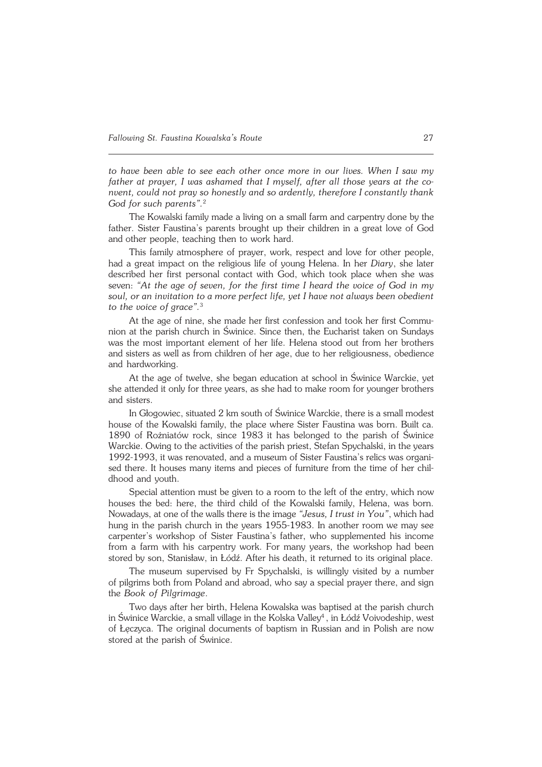*to have been able to see each other once more in our lives. When I saw my father at prayer, I was ashamed that I myself, after all those years at the co− nvent, could not pray so honestly and so ardently, therefore I constantly thank God for such parents".*<sup>2</sup>

The Kowalski family made a living on a small farm and carpentry done by the father. Sister Faustina's parents brought up their children in a great love of God and other people, teaching then to work hard.

This family atmosphere of prayer, work, respect and love for other people, had a great impact on the religious life of young Helena. In her *Diary*, she later described her first personal contact with God, which took place when she was seven: *"At the age of seven, for the first time I heard the voice of God in my soul, or an invitation to a more perfect life, yet I have not always been obedient* to the voice of grace".<sup>3</sup>

At the age of nine, she made her first confession and took her first Commu− nion at the parish church in Świnice. Since then, the Eucharist taken on Sundays was the most important element of her life. Helena stood out from her brothers and sisters as well as from children of her age, due to her religiousness, obedience and hardworking.

At the age of twelve, she began education at school in Świnice Warckie, yet she attended it only for three years, as she had to make room for younger brothers and sisters.

In Głogowiec, situated 2 km south of Świnice Warckie, there is a small modest house of the Kowalski family, the place where Sister Faustina was born. Built ca. 1890 of Rożniatów rock, since 1983 it has belonged to the parish of Świnice Warckie. Owing to the activities of the parish priest, Stefan Spychalski, in the years 1992−1993, it was renovated, and a museum of Sister Faustina's relics was organi− sed there. It houses many items and pieces of furniture from the time of her chil− dhood and youth.

Special attention must be given to a room to the left of the entry, which now houses the bed: here, the third child of the Kowalski family, Helena, was born. Nowadays, at one of the walls there is the image *"Jesus, I trust in You"*, which had hung in the parish church in the years 1955−1983. In another room we may see carpenter's workshop of Sister Faustina's father, who supplemented his income from a farm with his carpentry work. For many years, the workshop had been stored by son, Stanisław, in Łódź. After his death, it returned to its original place.

The museum supervised by Fr Spychalski, is willingly visited by a number of pilgrims both from Poland and abroad, who say a special prayer there, and sign the *Book of Pilgrimage*.

Two days after her birth, Helena Kowalska was baptised at the parish church in Świnice Warckie, a small village in the Kolska Valley<sup>4</sup> , in Łódź Voivodeship, west of Łęczyca. The original documents of baptism in Russian and in Polish are now stored at the parish of Świnice.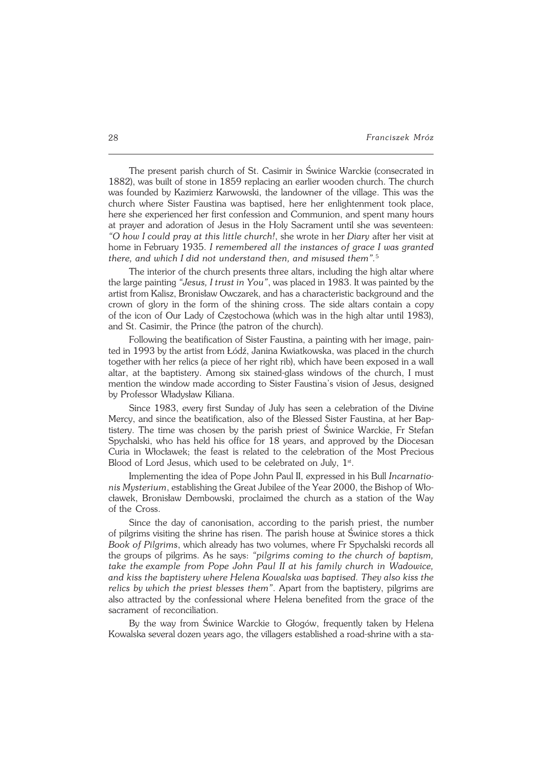The present parish church of St. Casimir in Świnice Warckie (consecrated in 1882), was built of stone in 1859 replacing an earlier wooden church. The church was founded by Kazimierz Karwowski, the landowner of the village. This was the church where Sister Faustina was baptised, here her enlightenment took place, here she experienced her first confession and Communion, and spent many hours at prayer and adoration of Jesus in the Holy Sacrament until she was seventeen: *"Ohow Icould pray at this little church!*, she wrote in her *Diary* after her visit at home inFebruary 1935. *I remembered all the instances of grace I was granted there, and which I did not understand then, and misused them".*<sup>5</sup>

The interior of the church presents three altars, including the high altar where the large painting *"Jesus, I trust in You"*, was placed in 1983. It was painted by the artist from Kalisz, Bronisław Owczarek, and has a characteristic background and the crown of glory in the form of the shining cross. The side altars contain a copy of the icon of Our Lady of Częstochowa (which was in the high altar until 1983), and St.Casimir, the Prince (the patron of the church).

Following the beatification of Sister Faustina, a painting with her image, pain− ted in 1993 by the artist from Łódź, Janina Kwiatkowska, was placed in the church together with her relics (a piece of her right rib), which have been exposed in a wall altar, at the baptistery. Among six stained−glass windows of the church, I must mention the window made according to Sister Faustina's vision of Jesus, designed by Professor Władysław Kiliana.

Since 1983, every first Sunday of July has seen a celebration of the Divine Mercy, and since the beatification, also of the Blessed Sister Faustina, at her Bap− tistery. The time was chosen by the parish priest of Świnice Warckie, Fr Stefan Spychalski, who has held his office for 18 years, and approved by the Diocesan Curia in Włocławek; the feast is related to the celebration of the Most Precious Blood of Lord Jesus, which used to be celebrated on July,  $1^{st}$ .

Implementing the idea of Pope John Paul II, expressed in his Bull *Incarnatio− nis Mysterium*, establishing the Great Jubilee of the Year 2000, the Bishop of Wło− cławek, Bronisław Dembowski, proclaimed the church as a station of the Way of the Cross.

Since the day of canonisation, according to the parish priest, the number of pilgrims visiting the shrine has risen. The parish house at Świnice stores a thick *Book ofPilgrims*, which already has two volumes, where Fr Spychalski records all the groups of pilgrims. As he says: *"pilgrims coming to the church of baptism,* take the example from Pope John Paul II at his family church in Wadowice, and kiss the baptistery where Helena Kowalska was baptised. They also kiss the *relics bywhich the priest blesses them"*. Apart from the baptistery, pilgrims are also attracted by the confessional where Helena benefited from the grace of the sacrament of reconciliation.

By the way from Świnice Warckie to Głogów, frequently taken by Helena Kowalska several dozen years ago, the villagers established a road−shrine with asta−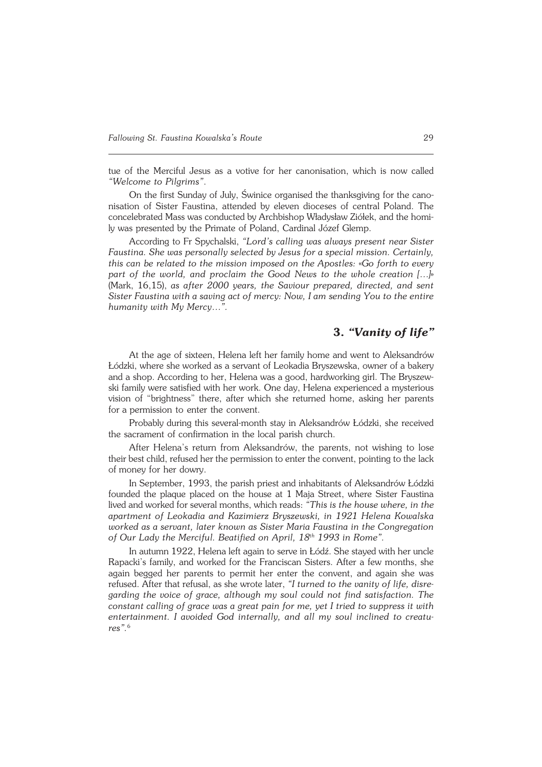tue of the Merciful Jesus as a votive for her canonisation, which is now called *"Welcome to Pilgrims"*.

On the first Sunday of July, Świnice organised the thanksgiving for the cano− nisation of Sister Faustina, attended by eleven dioceses of central Poland. The concelebrated Mass was conducted by Archbishop Władysław Ziółek, and the homi− ly was presented by the Primate of Poland, Cardinal Józef Glemp.

According to Fr Spychalski, *"Lord's calling was always present near Sister Faustina. She was personally selected by Jesus for a special mission. Certainly, this can be related to the mission imposed on the Apostles:* «*Go forth to every part of the world, and proclaim the Good News to the whole creation […]*» (Mark, 16,15), *as after 2000 years, the Saviour prepared, directed, and sent Sister Faustina with a saving act of mercy: Now, I am sending You to the entire humanity with My Mercy…".*

# **3.** *"Vanity of life"*

At the age of sixteen, Helena left her family home and went to Aleksandrów Łódzki, where she worked as a servant of Leokadia Bryszewska, owner of a bakery and a shop. According to her, Helena was a good, hardworking girl. The Bryszewski family were satisfied with her work. One day, Helena experienced a mysterious vision of "brightness" there, after which she returned home, asking her parents for a permission to enter the convent.

Probably during this several−month stay in Aleksandrów Łódzki, she received the sacrament of confirmation in the local parish church.

After Helena's return from Aleksandrów, the parents, not wishing to lose their best child, refused her the permission to enter the convent, pointing to thelack of money for her dowry.

In September, 1993, the parish priest and inhabitants of Aleksandrów Łódzki founded the plaque placed on the house at 1 Maja Street, where Sister Faustina lived and worked for several months, which reads: *"This is the house where, in the apartment of Leokadia and Kazimierz Bryszewski, in 1921 Helena Kowalska worked as a servant, later known as Sister Maria Faustina in the Congregation of Our Lady the Merciful. Beatified on April, 18th 1993 in Rome".*

In autumn 1922, Helena left again to serve in Łódź. She stayed with her uncle Rapacki's family, and worked for the Franciscan Sisters. After a few months, she again begged her parents to permit her enter the convent, and again she was refused. After that refusal, as she wrote later, *"I turned to the vanity of life, disre− garding the voice of grace, although my soul could not find satisfaction. The constant calling of grace was a great pain for me, yet I tried to suppress it with entertainment. I avoided God internally, and all my soul inclined to creatu− res".*6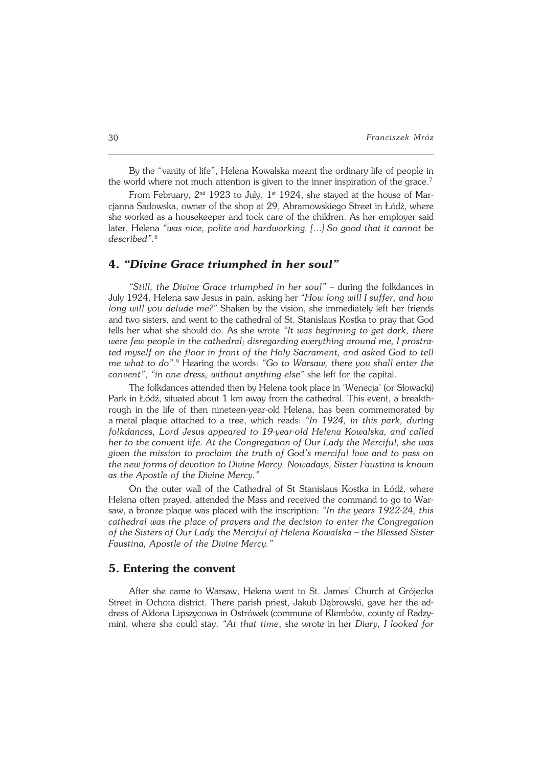By the "vanity of life", Helena Kowalska meant the ordinary life of people in the world where not much attention is given to the inner inspiration of the grace.<sup>7</sup>

From February, 2nd 1923 to July, 1st 1924, she stayed at the house of Mar− cjanna Sadowska, owner of the shop at 29, Abramowskiego Street in Łódź, where she worked as a housekeeper and took care of the children. As her employer said later, Helena *"was nice, polite and hardworking. […] So good that it cannot be described".*<sup>8</sup>

#### **4.** *"Divine Grace triumphed in her soul"*

*"Still, the Divine Grace triumphed in her soul"* – during the folkdances in July 1924, Helena saw Jesus in pain, asking her *"How long will I suffer, and how long will you delude me?"* Shaken by the vision, she immediately left her friends and two sisters, and went to the cathedral of St. Stanislaus Kostka to pray that God tells her what she should do. As she wrote *"It was beginning to get dark, there were few people in the cathedral; disregarding everything around me, I prostra− ted myself on the floor in front of the Holy Sacrament, and asked God to tell me what to do".*<sup>9</sup> Hearing the words: *"Go to Warsaw, there you shall enter the convent"*, *"inone dress, without anything else"* she left for the capital.

The folkdances attended then by Helena took place in 'Wenecja' (or Słowacki) Park in Łódź, situated about 1 km away from the cathedral. This event, a breakth− rough in the life of then nineteen−year−old Helena, has been commemorated by ametal plaque attached to a tree, which reads: *"In 1924, in this park, during folkdances, Lord Jesus appeared to 19−year−old Helena Kowalska, and called her to the convent life. At the Congregation of Our Lady the Merciful, she was given the mission to proclaim the truth of God's merciful love and to pass on the new forms of devotion to Divine Mercy. Nowadays, Sister Faustina is known as the Apostle of the Divine Mercy."*

On the outer wall of the Cathedral of St Stanislaus Kostka in Łódź, where Helena often prayed, attended the Mass and received the command to go to War− saw, a bronze plaque was placed with the inscription: *"In the years 1922−24, this cathedral was the place of prayers and the decision to enter the Congregation of the Sisters of Our Lady the Merciful of Helena Kowalska – the Blessed Sister Faustina, Apostle of the Divine Mercy."*

#### **5. Entering the convent**

After she came to Warsaw, Helena went to St. James' Church at Grójecka Street in Ochota district. There parish priest, Jakub Dąbrowski, gave her the ad− dress of Aldona Lipszycowa in Ostrówek (commune of Klembów, county of Radzy− min), where she could stay. *"At that time*, she wrote in her *Diary, I looked for*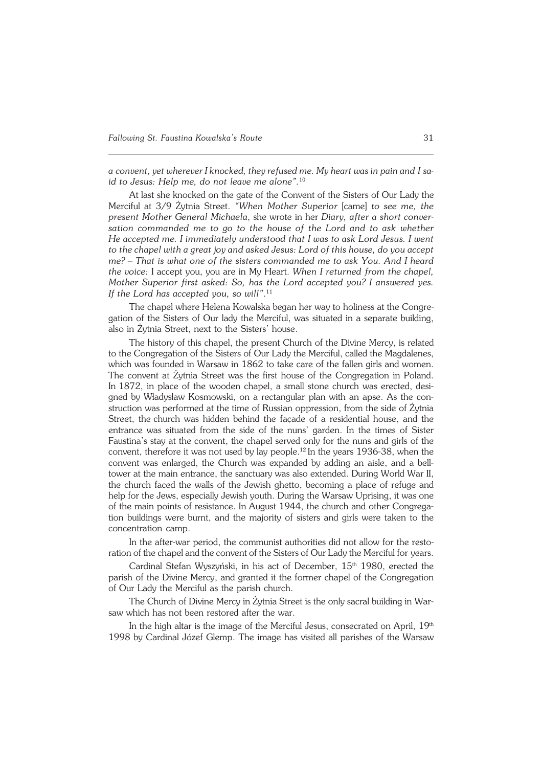*aconvent, yet wherever I knocked, they refused me. My heart was in pain andIsa− id to Jesus: Help me, do not leave me alone".*<sup>10</sup>

At last she knocked on the gate of the Convent of the Sisters of Our Lady the Merciful at 3/9 Żytnia Street. *"When Mother Superior* [came] *to see me, the present Mother General Michaela*, she wrote in her *Diary, after a short conver− sation commanded me to go to the house of the Lord and to ask whether Heaccepted me. I immediately understood that I was to ask Lord Jesus. I went to the chapel with a great joy and asked Jesus: Lord of this house, do you accept me? – That is what one of the sisters commanded me to ask You. And I heard the voice:* I accept you, you are in My Heart. *When I returned from the chapel, Mother Superior first asked: So, has the Lord accepted you? I answered yes. If the Lord has accepted you, so will"*. 11

The chapel where Helena Kowalska began her way to holiness at the Congre− gation of the Sisters of Our lady the Merciful, was situated in a separate building, also in Żytnia Street, next to the Sisters' house.

The history of this chapel, the present Church of the Divine Mercy, is related to the Congregation of the Sisters of Our Lady the Merciful, called the Magdalenes, which was founded in Warsaw in 1862 to take care of the fallen girls and women. The convent at Żytnia Street was the first house of the Congregation in Poland. In 1872, in place of the wooden chapel, a small stone church was erected, desi− gned by Władysław Kosmowski, on a rectangular plan with an apse. As the con− struction was performed at the time of Russian oppression, from the side of Żytnia Street, the church was hidden behind the facade of a residential house, and the entrance was situated from the side of the nuns' garden. In the times of Sister Faustina's stay at the convent, the chapel served only for the nuns and girls of the convent, therefore it was not used by lay people.12 In the years 1936−38, when the convent was enlarged, the Church was expanded by adding an aisle, and a bell− tower at the main entrance, the sanctuary was also extended. During World War II, the church faced the walls of the Jewish ghetto, becoming a place of refuge and help for the Jews, especially Jewish youth. During the Warsaw Uprising, it was one of the main points of resistance. InAugust 1944, the church and other Congrega− tion buildings were burnt, and the majority of sisters and girls were taken to the concentration camp.

In the after−war period, the communist authorities did not allow for the resto− ration of the chapel and the convent of the Sisters of Our Lady the Merciful for years.

Cardinal Stefan Wyszyński, in his act of December, 15<sup>th</sup> 1980, erected the parish of the Divine Mercy, and granted it the former chapel of the Congregation ofOur Lady the Merciful as the parish church.

The Church of Divine Mercy in Żytnia Street is the only sacral building in War− saw which has not been restored after the war.

In the high altar is the image of the Merciful Jesus, consecrated on April, 19th 1998 by Cardinal Józef Glemp. The image has visited all parishes of the Warsaw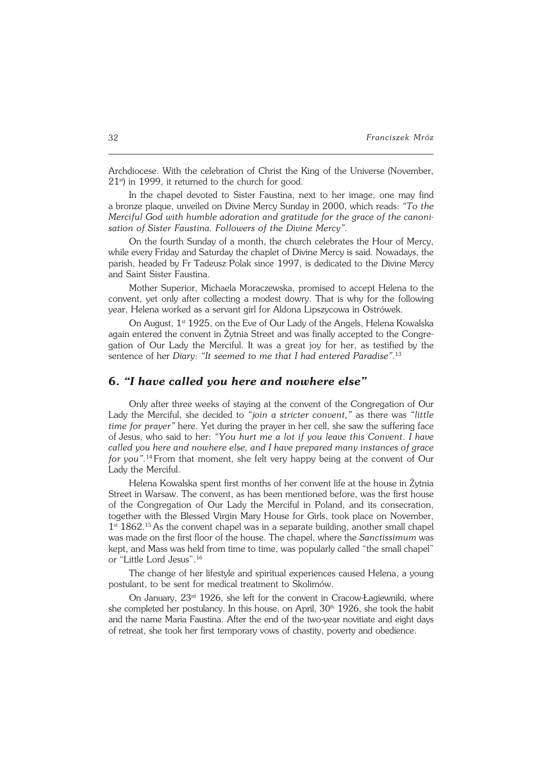Archdiocese. With the celebration of Christ the King of the Universe (November,  $21<sup>st</sup>$ ) in 1999, it returned to the church for good.

In the chapel devoted to Sister Faustina, next to her image, one may find abronze plaque, unveiled on Divine Mercy Sunday in 2000, which reads: *"To the Merciful God with humble adoration and gratitude for the grace of the canoni−* sation of Sister Faustina. Followers of the Divine Mercy".

On the fourth Sunday of a month, the church celebrates the Hour of Mercy, while every Friday and Saturday the chaplet of Divine Mercy is said. Nowadays, the parish, headed by Fr Tadeusz Polak since 1997, is dedicated to the Divine Mercy and Saint Sister Faustina.

Mother Superior, Michaela Moraczewska, promised to accept Helena to the convent, yet only after collecting a modest dowry. That is why for the following year, Helena worked as a servant girl for Aldona Lipszycowa in Ostrówek.

On August, 1<sup>st</sup> 1925, on the Eve of Our Lady of the Angels, Helena Kowalska again entered the convent in Żytnia Street and was finally accepted to the Congre− gation of Our Lady the Merciful. It was a great joy for her, as testified by the sentence of her *Diary*: *"It seemed to me that I had entered Paradise".*<sup>13</sup>

# **6.** *"I have called you here and nowhere else"*

Only after three weeks of staying at the convent of the Congregation of Our Lady the Merciful, she decided to *"join a stricter convent,"* as there was *"little time for prayer"* here. Yet during the prayer in her cell, she saw the suffering face of Jesus, who said to her: "You hurt me a lot if you leave this Convent. I have *called you here and nowhere else, and I have prepared many instances of grace for you*".<sup>14</sup> From that moment, she felt very happy being at the convent of Our Lady the Merciful.

Helena Kowalska spent first months of her convent life at the house in Żytnia Street in Warsaw. The convent, as has been mentioned before, was the first house of the Congregation of Our Lady the Merciful in Poland, and its consecration, together with the Blessed Virgin Mary House for Girls, took place on November,  $1<sup>st</sup>$  1862.<sup>15</sup> As the convent chapel was in a separate building, another small chapel was made on the first floor of the house. The chapel, where the *Sanctissimum* was kept, and Mass was held from time to time, was popularly called "the small chapel" or"Little Lord Jesus".<sup>16</sup>

The change of her lifestyle and spiritual experiences caused Helena, a young postulant, to be sent for medical treatment to Skolimów.

On January, 23rd 1926, she left for the convent in Cracow−Łagiewniki, where she completed her postulancy. In this house, on April,  $30<sup>th</sup>$  1926, she took the habit and the name Maria Faustina. After the end of the two−year novitiate and eight days of retreat, she took her first temporary vows of chastity, poverty and obedience.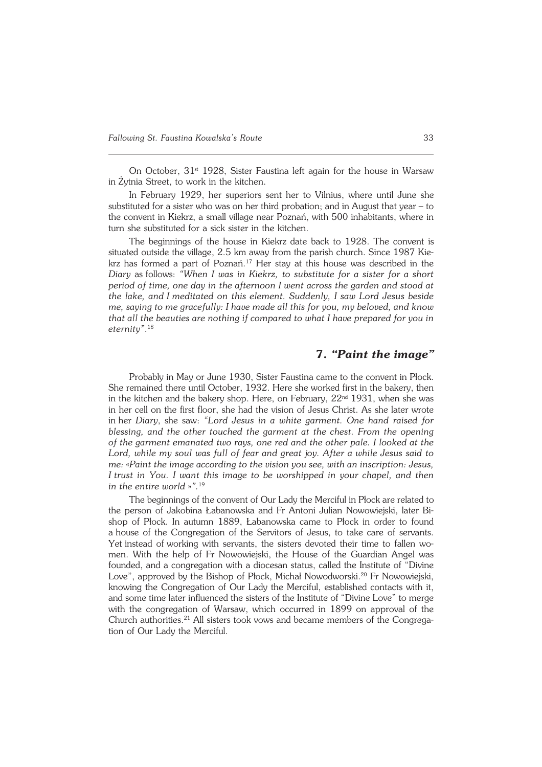On October,  $31<sup>st</sup>$  1928, Sister Faustina left again for the house in Warsaw inŻytnia Street, to work in the kitchen.

In February 1929, her superiors sent her to Vilnius, where until June she substituted for a sister who was on her third probation: and in August that year  $-$  to the convent in Kiekrz, a small village near Poznań, with 500 inhabitants, where in turn she substituted for a sick sister in the kitchen.

The beginnings of the house in Kiekrz date back to 1928. The convent is situated outside the village, 2.5 km away from the parish church. Since 1987 Kie− krz has formed a part of Poznań.<sup>17</sup> Her stay at this house was described in the *Diary* asfollows: *"When I was in Kiekrz, to substitute for a sister for a short period of time, one day in the afternoon I went across the garden and stood at the lake, andImeditated on this element. Suddenly, I saw Lord Jesus beside me, saying to me gracefully: I have made all this for you, my beloved, and know that all the beauties are nothing if compared to what I have prepared for you in eternity"*. 18

# **7.** *"Paint the image"*

Probably in May or June 1930, Sister Faustina came to the convent in Płock. She remained there until October, 1932. Here she worked first in the bakery, then in the kitchen and the bakery shop. Here, on February,  $22<sup>nd</sup> 1931$ , when she was in her cell on the first floor, she had the vision of Jesus Christ. As she later wrote inher *Diary*, she saw: *"Lord Jesus in a white garment. One hand raised for blessing, and the other touched the garment at the chest. From the opening ofthe garment emanated two rays, one red and the other pale. I looked at the Lord, while my soul was full of fear and great joy. After a while Jesus said to me:* «*Paint the image according to the vision you see, with an inscription: Jesus, Itrust in You. I want this image to be worshipped in your chapel, and then in the entire world* »".<sup>19</sup>

The beginnings of the convent of Our Lady the Merciful in Płock are related to the person of Jakobina Łabanowska and Fr Antoni Julian Nowowiejski, later Bi− shop of Płock. In autumn 1889, Łabanowska came to Płock in order to found a house of the Congregation of the Servitors of Jesus, to take care of servants. Yet instead of working with servants, the sisters devoted their time to fallen women. With the help of Fr Nowowiejski, the House of the Guardian Angel was founded, and a congregation with a diocesan status, called the Institute of "Divine Love", approved by the Bishop of Płock, Michał Nowodworski.<sup>20</sup> Fr Nowowiejski, knowing the Congregation of Our Lady the Merciful, established contacts with it, and some time later influenced the sisters of the Institute of "Divine Love" to merge with the congregation of Warsaw, which occurred in 1899 on approval of the Church authorities.21 All sisters took vows and became members of the Congrega− tion of Our Lady the Merciful.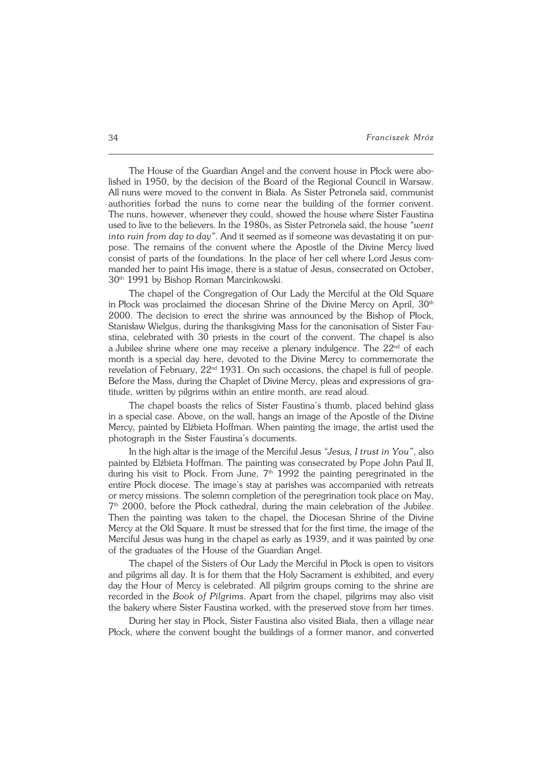The House of the Guardian Angel and the convent house in Płock were abo− lished in 1950, by the decision of the Board of the Regional Council in Warsaw. All nuns were moved to the convent in Biała. As Sister Petronela said, communist authorities forbad the nuns to come near the building of the former convent. The nuns, however, whenever they could, showed the house where Sister Faustina used to live to the believers. In the 1980s, as Sister Petronela said, the house *"went into ruin from day to day"*. And it seemed as if someone was devastating it on purpose. The remains of the convent where the Apostle of the Divine Mercy lived consist of parts of the foundations. In the place of her cell where Lord Jesus com− manded her to paint His image, there is a statue of Jesus, consecrated on October, 30<sup>th</sup> 1991 by Bishop Roman Marcinkowski.

The chapel of the Congregation of Our Lady the Merciful at the Old Square in Płock was proclaimed the diocesan Shrine of the Divine Mercy on April, 30<sup>th</sup> 2000. The decision to erect the shrine was announced by the Bishop of Płock, Stanisław Wielgus, during the thanksgiving Mass for the canonisation of Sister Fau− stina, celebrated with 30 priests in the court of the convent. The chapel is also a Jubilee shrine where one may receive a plenary indulgence. The  $22<sup>nd</sup>$  of each month is aspecial day here, devoted to the Divine Mercy to commemorate the revelation of February,  $22<sup>nd</sup> 1931$ . On such occasions, the chapel is full of people. Before the Mass, during the Chaplet of Divine Mercy, pleas and expressions of gra− titude, written by pilgrims within an entire month, are read aloud.

The chapel boasts the relics of Sister Faustina's thumb, placed behind glass in a special case. Above, on the wall, hangs an image of the Apostle of the Divine Mercy, painted by Elżbieta Hoffman. When painting the image, the artist used the photograph in the Sister Faustina's documents.

In the high altar is the image of the Merciful Jesus *"Jesus, I trust in You"*, also painted by Elżbieta Hoffman. The painting was consecrated by Pope John Paul II, during his visit to Płock. From June,  $7<sup>th</sup>$  1992 the painting peregrinated in the entire Płock diocese. The image's stay at parishes was accompanied with retreats or mercy missions. The solemn completion of the peregrination took place on May, 7 th 2000, before the Płock cathedral, during the main celebration of the Jubilee. Then the painting was taken to the chapel, the Diocesan Shrine of the Divine Mercy at the Old Square. It must be stressed that for the first time, the image of the Merciful Jesus was hung in the chapel as early as 1939, and it was painted by one of the graduates of the House of the Guardian Angel.

The chapel of the Sisters of Our Lady the Merciful in Płock is open to visitors and pilgrims all day. It is for them that the Holy Sacrament is exhibited, and every day the Hour of Mercy is celebrated. All pilgrim groups coming to the shrine are recorded in the *Book of Pilgrims*. Apart from the chapel, pilgrims may also visit the bakery where Sister Faustina worked, with the preserved stove from her times.

During her stay in Płock, Sister Faustina also visited Biała, then a village near Płock, where the convent bought the buildings of a former manor, and converted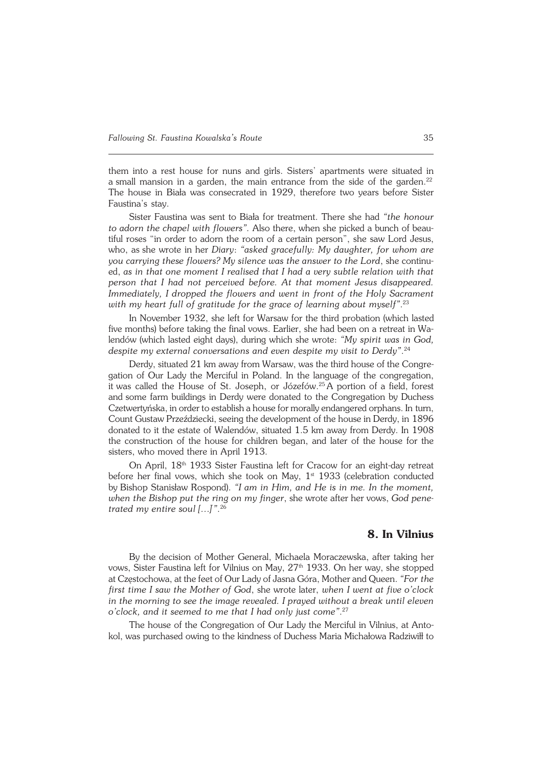them into a rest house for nuns and girls. Sisters' apartments were situated in a small mansion in a garden, the main entrance from the side of the garden.<sup>22</sup> The house in Biała was consecrated in 1929, therefore two years before Sister Faustina's stay.

Sister Faustina was sent to Biała for treatment. There she had *"the honour* to adorn the chapel with flowers". Also there, when she picked a bunch of beautiful roses "in order to adorn the room of a certain person", she saw Lord Jesus, who, asshe wrote in her *Diary*: *"asked gracefully: My daughter, for whom are you carrying these flowers? My silence was the answer to the Lord*, she continu− ed, *as in that one moment I realised that I had a very subtle relation with that person that I had not perceived before. At that moment Jesus disappeared. Immediately, I dropped the flowers and went in front of the Holy Sacrament with my heart full of gratitude for the grace of learning about myself"*. 23

In November 1932, she left for Warsaw for the third probation (which lasted five months) before taking the final vows. Earlier, she had been on a retreat in Walendów (which lasted eight days), during which she wrote: *"My spirit was in God, despite my external conversations and even despite my visit to Derdy"*. 24

Derdy, situated 21 km away from Warsaw, was the third house of the Congregation of Our Lady the Merciful in Poland. In the language of the congregation, itwas called the House of St. Joseph, or Józefów.<sup>25</sup> A portion of a field, forest and some farm buildings in Derdy were donated to the Congregation by Duchess Czetwertyńska, in order to establish a house for morally endangered orphans. Inturn, Count Gustaw Przeździecki, seeing the development of the house in Derdy, in1896 donated to it the estate of Walendów, situated 1.5 km away from Derdy. In 1908 the construction of the house for children began, and later of the house for the sisters, who moved there in April 1913.

On April, 18th 1933 Sister Faustina left for Cracow for an eight−day retreat before her final vows, which she took on May, 1<sup>st</sup> 1933 (celebration conducted byBishop Stanisław Rospond). *"I am in Him, and He is in me. In the moment, when the Bishop put the ring on my finger*, she wrote after her vows, *God pene− trated my entire soul […]*'*"*. 26

# **8. In Vilnius**

By the decision of Mother General, Michaela Moraczewska, after taking her vows, Sister Faustina left for Vilnius on May,  $27<sup>th</sup>$  1933. On her way, she stopped at Częstochowa, at the feet of Our Lady of Jasna Góra, Mother and Queen. *"Forthe first time I saw the Mother of God*, she wrote later, *when I went at five o'clock in the morning to see the image revealed. I prayed without a break until eleven o'clock, and it seemed to me that I had only just come"*. 27

The house of the Congregation of Our Lady the Merciful in Vilnius, at Antokol, was purchased owing to the kindness of Duchess Maria Michałowa Radziwiłł to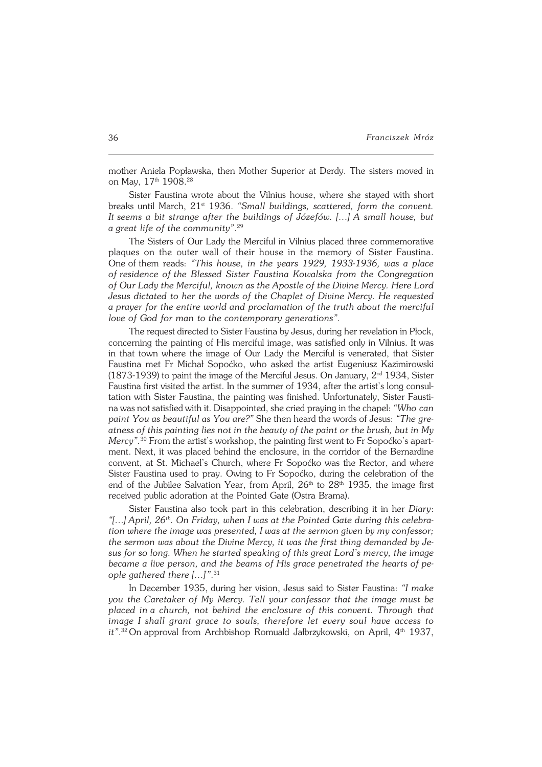mother Aniela Popławska, then Mother Superior at Derdy. The sisters moved in on May, 17<sup>th</sup> 1908.<sup>28</sup>

Sister Faustina wrote about the Vilnius house, where she stayed with short breaks until March, 21st 1936. *"Small buildings, scattered, form the convent. Itseems a bit strange after the buildings of Józefów. […] A small house, but* a great life of the community".<sup>29</sup>

The Sisters of Our Lady the Merciful in Vilnius placed three commemorative plaques on the outer wall of their house in the memory of Sister Faustina. Oneofthem reads: *"This house, in the years 1929, 1933−1936, was a place ofresidence ofthe Blessed Sister Faustina Kowalska from the Congregation ofOur Lady the Merciful, known as the Apostle of the Divine Mercy. Here Lord Jesus dictated to her the words of the Chaplet of Divine Mercy. He requested aprayer for the entire world and proclamation of the truth about the merciful love of God for man to the contemporary generations".* 

The request directed to Sister Faustina by Jesus, during her revelation in Płock, concerning the painting of His merciful image, was satisfied only in Vilnius. It was in that town where the image of Our Lady the Merciful is venerated, that Sister Faustina met Fr Michał Sopoćko, who asked the artist Eugeniusz Kazimirowski (1873−1939) to paint the image of the Merciful Jesus. On January, 2nd 1934, Sister Faustina first visited the artist. In the summer of 1934, after the artist's long consul− tation with Sister Faustina, the painting was finished. Unfortunately, Sister Fausti− na was not satisfied with it. Disappointed, she cried praying in the chapel: *"Whocan paint You as beautiful as You are?"* She then heard the words of Jesus: *"Thegre− atness of this painting lies not in the beauty of the paint or the brush, but in My Mercy".*<sup>30</sup> From the artist's workshop, the painting first went to Fr Sopoćko's apart− ment. Next, it was placed behind the enclosure, in the corridor of the Bernardine convent, at St. Michael's Church, where Fr Sopoćko was the Rector, and where Sister Faustina used to pray. Owing to Fr Sopoćko, during the celebration of the end of the Jubilee Salvation Year, from April,  $26<sup>th</sup>$  to  $28<sup>th</sup>$  1935, the image first received public adoration at the Pointed Gate (Ostra Brama).

Sister Faustina also took part in this celebration, describing it in her *Diary*: *"[…] April, 26th. On Friday, when I was at the Pointed Gate during this celebra− tion where the image was presented, I was at the sermon given by my confessor;* the sermon was about the Divine Mercy, it was the first thing demanded by Je*sus for so long. When he started speaking of this great Lord's mercy, the image became a live person, and the beams of His grace penetrated the hearts of people gathered there […]*'*"*. 31

In December 1935, during her vision, Jesus said to Sister Faustina: *"I make you the Caretaker of My Mercy. Tell your confessor that the image must be placed ina church, not behind the enclosure of this convent. Through that image I shall grant grace to souls, therefore let every soul have access to it*".<sup>32</sup> On approval from Archbishop Romuald Jałbrzykowski, on April, 4<sup>th</sup> 1937,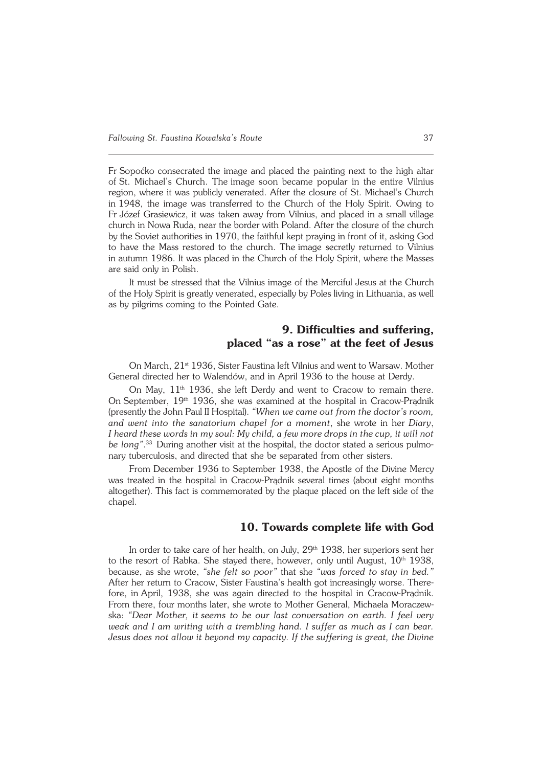FrSopoćko consecrated the image and placed the painting next to the high altar of St. Michael's Church. The image soon became popular in the entire Vilnius region, where it was publicly venerated. After the closure of St. Michael's Church in1948, the image was transferred to the Church of the Holy Spirit. Owing to Fr Józef Grasiewicz, it was taken away from Vilnius, and placed in a small village church in Nowa Ruda, near the border with Poland. After the closure of the church by the Soviet authorities in 1970, the faithful kept praying in front of it, asking God to have the Mass restored to the church. The image secretly returned to Vilnius in autumn 1986. It was placed in the Church of the Holy Spirit, where the Masses are said only in Polish.

It must be stressed that the Vilnius image of the Merciful Jesus at the Church of the Holy Spirit is greatly venerated, especially by Poles living in Lithuania, as well as by pilgrims coming to the Pointed Gate.

# **9. Difficulties and suffering, placed "as a rose" at the feet of Jesus**

On March, 21<sup>st</sup> 1936, Sister Faustina left Vilnius and went to Warsaw. Mother General directed her to Walendów, and in April 1936 to the house at Derdy.

On May, 11<sup>th</sup> 1936, she left Derdy and went to Cracow to remain there. OnSeptember, 19th 1936, she was examined at the hospital in Cracow−Prądnik (presently the John Paul II Hospital). *"When we came out from the doctor's room, and went into the sanatorium chapel for a moment*, she wrote in her *Diary*, *Iheard these words in my soul: My child, a few more drops in the cup, it will not be long"*. <sup>33</sup> During another visit at the hospital, the doctor stated a serious pulmo− nary tuberculosis, and directed that she be separated from other sisters.

From December 1936 to September 1938, the Apostle of the Divine Mercy was treated in the hospital in Cracow−Prądnik several times (about eight months altogether). This fact is commemorated by the plaque placed on the left side of the chapel.

# **10. Towards complete life with God**

In order to take care of her health, on July, 29<sup>th</sup> 1938, her superiors sent her to the resort of Rabka. She stayed there, however, only until August,  $10<sup>th</sup> 1938$ , because, as she wrote, *"she felt so poor"* that she *"was forced to stay in bed."* After her return to Cracow, Sister Faustina's health got increasingly worse. There− fore, inApril, 1938, she was again directed to the hospital in Cracow−Prądnik. From there, four months later, she wrote to Mother General, Michaela Moraczew− ska: *"Dear Mother, itseems to be our last conversation on earth. I feel very weak and I am writing with a trembling hand. I suffer as much as I can bear. Jesus does not allow it beyond my capacity. If the suffering is great, the Divine*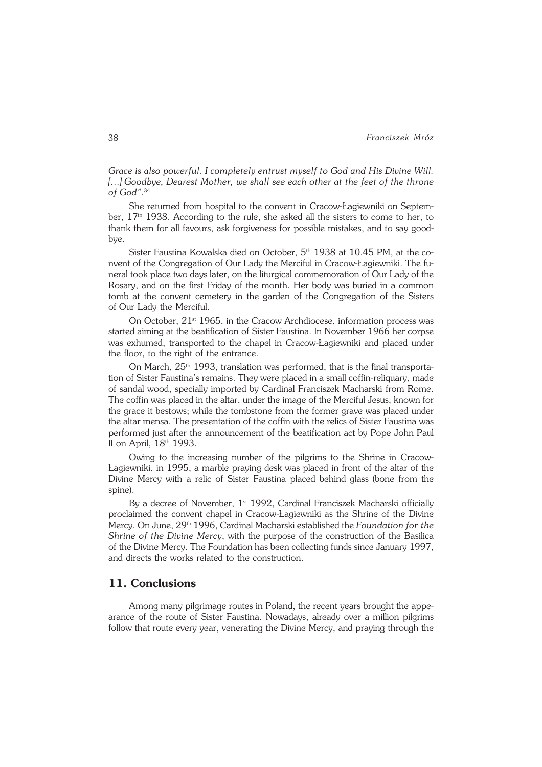*Grace is also powerful. Icompletely entrust myself to God and His Divine Will. […] Goodbye, Dearest Mother, we shall see each other at the feet of the throne ofGod"*. 34

She returned from hospital to the convent in Cracow−Łagiewniki on Septem− ber,  $17<sup>th</sup>$  1938. According to the rule, she asked all the sisters to come to her, to thank them for all favours, ask forgiveness for possible mistakes, and to say good− bye.

Sister Faustina Kowalska died on October, 5<sup>th</sup> 1938 at 10.45 PM, at the convent of the Congregation of Our Lady the Merciful in Cracow-Łagiewniki. The funeral took place two days later, on the liturgical commemoration of Our Lady of the Rosary, and on the first Friday of the month. Her body was buried in a common tomb at the convent cemetery in the garden of the Congregation of the Sisters ofOur Lady the Merciful.

On October,  $21<sup>st</sup> 1965$ , in the Cracow Archdiocese, information process was started aiming at the beatification of Sister Faustina. In November 1966 her corpse was exhumed, transported to the chapel in Cracow−Łagiewniki and placed under the floor, to the right of the entrance.

On March, 25<sup>th</sup> 1993, translation was performed, that is the final transportation of Sister Faustina's remains. They were placed in a small coffin−reliquary, made of sandal wood, specially imported by Cardinal Franciszek Macharski from Rome. The coffin was placed in the altar, under the image of the Merciful Jesus, known for the grace it bestows; while the tombstone from the former grave was placed under the altar mensa. The presentation of the coffin with the relics of Sister Faustina was performed just after the announcement of the beatification act by Pope John Paul II on April, 18th 1993.

Owing to the increasing number of the pilgrims to the Shrine in Cracow− Łagiewniki, in 1995, a marble praying desk was placed in front of the altar of the Divine Mercy with a relic of Sister Faustina placed behind glass (bone from the spine).

By a decree of November,  $1<sup>st</sup>$  1992, Cardinal Franciszek Macharski officially proclaimed the convent chapel in Cracow−Łagiewniki as the Shrine of the Divine Mercy. On June, 29th 1996, Cardinal Macharski established the *Foundation forthe Shrine of the Divine Mercy*, with the purpose of the construction of the Basilica of the Divine Mercy. The Foundation has been collecting funds since January 1997, and directs the works related to the construction.

### **11. Conclusions**

Among many pilgrimage routes in Poland, the recent years brought the appe− arance of the route of Sister Faustina. Nowadays, already over a million pilgrims follow that route every year, venerating the Divine Mercy, and praying through the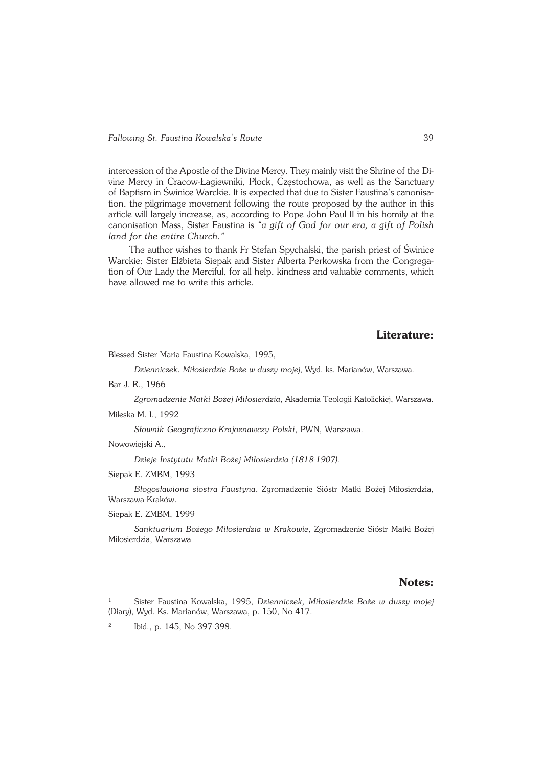intercession of the Apostle of the Divine Mercy. They mainly visit the Shrine of the Di− vine Mercy in Cracow−Łagiewniki, Płock, Częstochowa, as well as the Sanctuary of Baptism in Świnice Warckie. It is expected that due to Sister Faustina's canonisation, the pilgrimage movement following the route proposed by the author in this article will largely increase, as, according to Pope John Paul II in his homily at the canonisation Mass, Sister Faustina is *"a gift of God for our era, a gift of Polish land for the entire Church."*

The author wishes to thank Fr Stefan Spychalski, the parish priest of Świnice Warckie; Sister Elżbieta Siepak and Sister Alberta Perkowska from the Congrega− tion of Our Lady the Merciful, for all help, kindness and valuable comments, which have allowed me to write this article.

# **Literature:**

Blessed Sister Maria Faustina Kowalska, 1995,

*Dzienniczek. Miłosierdzie Boże w duszy mojej*, Wyd. ks. Marianów, Warszawa.

Bar J. R., 1966

*Zgromadzenie Matki Bożej Miłosierdzia*, Akademia Teologii Katolickiej, Warszawa.

Mileska M. I., 1992

*Słownik Geograficzno−Krajoznawczy Polski*, PWN, Warszawa.

Nowowiejski A.,

*Dzieje Instytutu Matki Bożej Miłosierdzia (1818−1907).*

Siepak E. ZMBM, 1993

*Błogosławiona siostra Faustyna*, Zgromadzenie Sióstr Matki Bożej Miłosierdzia, Warszawa−Kraków.

Siepak E. ZMBM, 1999

*Sanktuarium Bożego Miłosierdzia w Krakowie*, Zgromadzenie Sióstr Matki Bożej Miłosierdzia, Warszawa

#### **Notes:**

<sup>1</sup> Sister Faustina Kowalska, 1995, *Dzienniczek, Miłosierdzie Boże w duszy mojej* (Diary), Wyd. Ks. Marianów, Warszawa, p. 150, No 417.

2 Ibid., p. 145, No 397−398.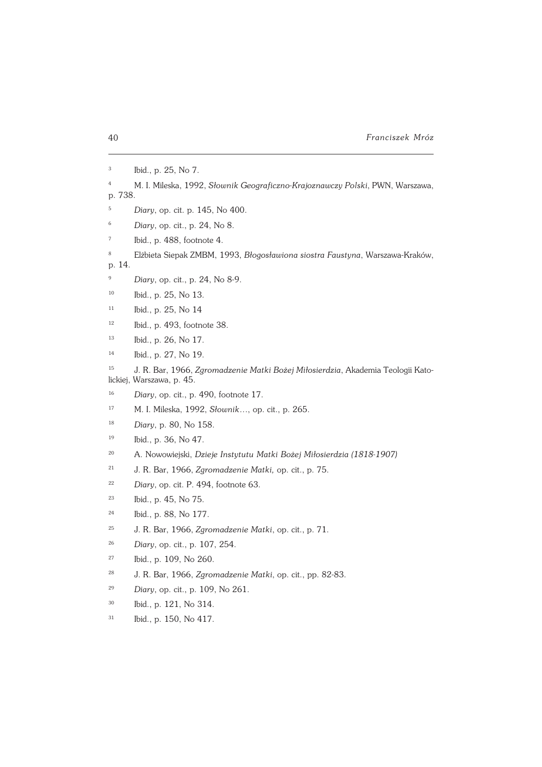Ibid., p. 25, No 7.

- M. I. Mileska, 1992, *Słownik Geograficzno−Krajoznawczy Polski*, PWN, Warszawa, p. 738.
- *Diary*, op. cit. p. 145, No 400.
- *Diary*, op. cit., p. 24, No 8.
- Ibid., p. 488, footnote 4.
- Elżbieta Siepak ZMBM, 1993, *Błogosławiona siostra Faustyna*, Warszawa−Kraków, p. 14.
- *Diary*, op. cit., p. 24, No 8−9.
- Ibid., p. 25, No 13.
- Ibid., p. 25, No 14
- Ibid., p. 493, footnote 38.
- Ibid., p. 26, No 17.
- Ibid., p. 27, No 19.

 J. R. Bar, 1966, *Zgromadzenie Matki Bożej Miłosierdzia*, Akademia Teologii Kato− lickiej, Warszawa, p. 45.

- *Diary*, op. cit., p. 490, footnote 17.
- M. I. Mileska, 1992, *Słownik…*, op. cit., p. 265.
- *Diary*, p. 80, No 158.
- Ibid., p. 36, No 47.
- A. Nowowiejski, *Dzieje Instytutu Matki Bożej Miłosierdzia (1818−1907)*
- J. R. Bar, 1966, *Zgromadzenie Matki,* op. cit., p. 75.
- *Diary*, op. cit. P. 494, footnote 63.
- Ibid., p. 45, No 75.
- Ibid., p. 88, No 177.
- J. R. Bar, 1966, *Zgromadzenie Matki*, op. cit., p. 71.
- *Diary*, op. cit., p. 107, 254.
- Ibid., p. 109, No 260.
- J. R. Bar, 1966, *Zgromadzenie Matki*, op. cit., pp. 82−83.
- *Diary*, op. cit., p. 109, No 261.
- Ibid., p. 121, No 314.
- Ibid., p. 150, No 417.